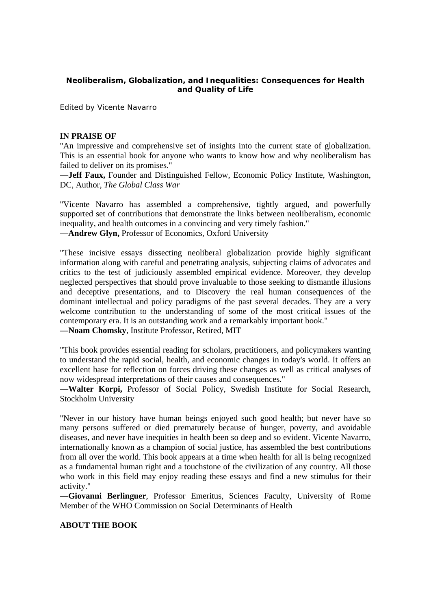## **Neoliberalism, Globalization, and Inequalities: Consequences for Health and Quality of Life**

Edited by Vicente Navarro

## **IN PRAISE OF**

"An impressive and comprehensive set of insights into the current state of globalization. This is an essential book for anyone who wants to know how and why neoliberalism has failed to deliver on its promises."

**—Jeff Faux,** Founder and Distinguished Fellow, Economic Policy Institute, Washington, DC, Author, *The Global Class War* 

"Vicente Navarro has assembled a comprehensive, tightly argued, and powerfully supported set of contributions that demonstrate the links between neoliberalism, economic inequality, and health outcomes in a convincing and very timely fashion."

**—Andrew Glyn,** Professor of Economics, Oxford University

"These incisive essays dissecting neoliberal globalization provide highly significant information along with careful and penetrating analysis, subjecting claims of advocates and critics to the test of judiciously assembled empirical evidence. Moreover, they develop neglected perspectives that should prove invaluable to those seeking to dismantle illusions and deceptive presentations, and to Discovery the real human consequences of the dominant intellectual and policy paradigms of the past several decades. They are a very welcome contribution to the understanding of some of the most critical issues of the contemporary era. It is an outstanding work and a remarkably important book."

**—Noam Chomsky**, Institute Professor, Retired, MIT

"This book provides essential reading for scholars, practitioners, and policymakers wanting to understand the rapid social, health, and economic changes in today's world. It offers an excellent base for reflection on forces driving these changes as well as critical analyses of now widespread interpretations of their causes and consequences."

**—Walter Korpi,** Professor of Social Policy, Swedish Institute for Social Research, Stockholm University

"Never in our history have human beings enjoyed such good health; but never have so many persons suffered or died prematurely because of hunger, poverty, and avoidable diseases, and never have inequities in health been so deep and so evident. Vicente Navarro, internationally known as a champion of social justice, has assembled the best contributions from all over the world. This book appears at a time when health for all is being recognized as a fundamental human right and a touchstone of the civilization of any country. All those who work in this field may enjoy reading these essays and find a new stimulus for their activity."

**—Giovanni Berlinguer**, Professor Emeritus, Sciences Faculty, University of Rome Member of the WHO Commission on Social Determinants of Health

## **ABOUT THE BOOK**